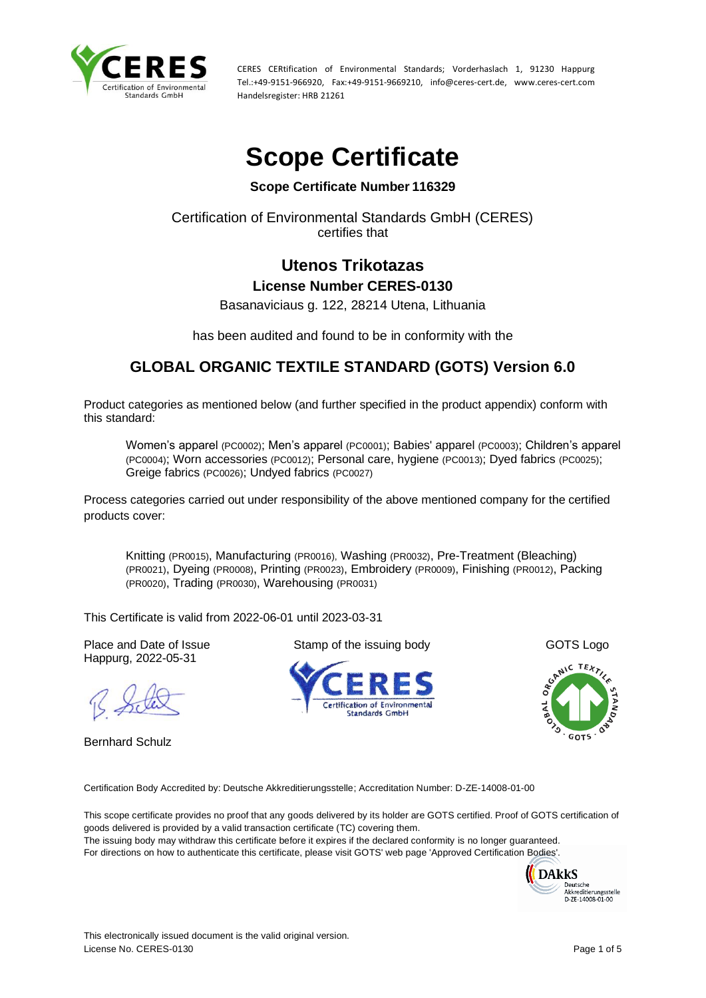

# **Scope Certificate**

## **Scope Certificate Number 116329**

## Certification of Environmental Standards GmbH (CERES) certifies that

## **Utenos Trikotazas License Number CERES-0130**

Basanaviciaus g. 122, 28214 Utena, Lithuania

has been audited and found to be in conformity with the

# **GLOBAL ORGANIC TEXTILE STANDARD (GOTS) Version 6.0**

Product categories as mentioned below (and further specified in the product appendix) conform with this standard:

Women's apparel (PC0002); Men's apparel (PC0001); Babies' apparel (PC0003); Children's apparel (PC0004); Worn accessories (PC0012); Personal care, hygiene (PC0013); Dyed fabrics (PC0025); Greige fabrics (PC0026); Undyed fabrics (PC0027)

Process categories carried out under responsibility of the above mentioned company for the certified products cover:

Knitting (PR0015), Manufacturing (PR0016), Washing (PR0032), Pre-Treatment (Bleaching) (PR0021), Dyeing (PR0008), Printing (PR0023), Embroidery (PR0009), Finishing (PR0012), Packing (PR0020), Trading (PR0030), Warehousing (PR0031)

This Certificate is valid from 2022-06-01 until 2023-03-31

Place and Date of Issue Stamp of the issuing body GOTS Logo Happurg, 2022-05-31

Bernhard Schulz







Certification Body Accredited by: Deutsche Akkreditierungsstelle; Accreditation Number: D-ZE-14008-01-00

This scope certificate provides no proof that any goods delivered by its holder are GOTS certified. Proof of GOTS certification of goods delivered is provided by a valid transaction certificate (TC) covering them. The issuing body may withdraw this certificate before it expires if the declared conformity is no longer guaranteed.

For directions on how to authenticate this certificate, please visit GOTS' web page 'Approved Certification Bodies'.

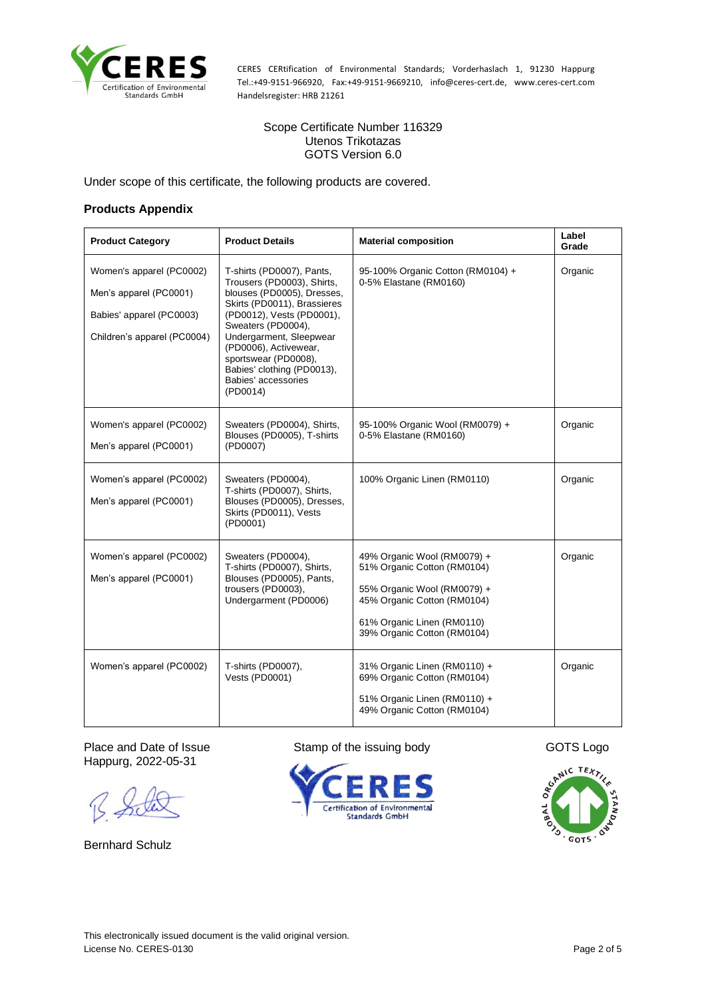

#### Scope Certificate Number 116329 Utenos Trikotazas GOTS Version 6.0

Under scope of this certificate, the following products are covered.

#### **Products Appendix**

| <b>Product Category</b>                                                                                       | <b>Product Details</b>                                                                                                                                                                                                                                                                                               | <b>Material composition</b>                                                                                                                                                           | Label<br>Grade |
|---------------------------------------------------------------------------------------------------------------|----------------------------------------------------------------------------------------------------------------------------------------------------------------------------------------------------------------------------------------------------------------------------------------------------------------------|---------------------------------------------------------------------------------------------------------------------------------------------------------------------------------------|----------------|
| Women's apparel (PC0002)<br>Men's apparel (PC0001)<br>Babies' apparel (PC0003)<br>Children's apparel (PC0004) | T-shirts (PD0007), Pants,<br>Trousers (PD0003), Shirts,<br>blouses (PD0005), Dresses,<br>Skirts (PD0011), Brassieres<br>(PD0012), Vests (PD0001),<br>Sweaters (PD0004),<br>Undergarment, Sleepwear<br>(PD0006), Activewear,<br>sportswear (PD0008),<br>Babies' clothing (PD0013),<br>Babies' accessories<br>(PD0014) | 95-100% Organic Cotton (RM0104) +<br>0-5% Elastane (RM0160)                                                                                                                           | Organic        |
| Women's apparel (PC0002)<br>Men's apparel (PC0001)                                                            | Sweaters (PD0004), Shirts,<br>Blouses (PD0005), T-shirts<br>(PD0007)                                                                                                                                                                                                                                                 | 95-100% Organic Wool (RM0079) +<br>0-5% Elastane (RM0160)                                                                                                                             | Organic        |
| Women's apparel (PC0002)<br>Men's apparel (PC0001)                                                            | Sweaters (PD0004),<br>T-shirts (PD0007), Shirts,<br>Blouses (PD0005), Dresses,<br>Skirts (PD0011), Vests<br>(PD0001)                                                                                                                                                                                                 | 100% Organic Linen (RM0110)                                                                                                                                                           | Organic        |
| Women's apparel (PC0002)<br>Men's apparel (PC0001)                                                            | Sweaters (PD0004),<br>T-shirts (PD0007), Shirts,<br>Blouses (PD0005), Pants,<br>trousers (PD0003),<br>Undergarment (PD0006)                                                                                                                                                                                          | 49% Organic Wool (RM0079) +<br>51% Organic Cotton (RM0104)<br>55% Organic Wool (RM0079) +<br>45% Organic Cotton (RM0104)<br>61% Organic Linen (RM0110)<br>39% Organic Cotton (RM0104) | Organic        |
| Women's apparel (PC0002)                                                                                      | T-shirts (PD0007),<br>Vests (PD0001)                                                                                                                                                                                                                                                                                 | 31% Organic Linen (RM0110) +<br>69% Organic Cotton (RM0104)<br>51% Organic Linen (RM0110) +<br>49% Organic Cotton (RM0104)                                                            | Organic        |

Happurg, 2022-05-31

Bernhard Schulz



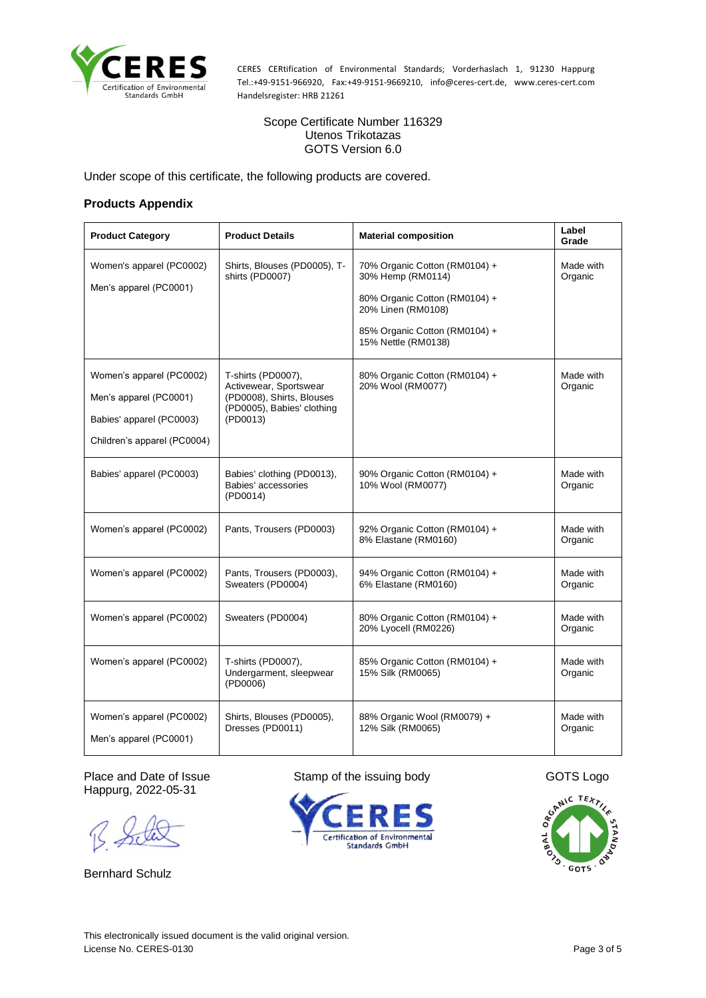

Scope Certificate Number 116329 Utenos Trikotazas GOTS Version 6.0

Under scope of this certificate, the following products are covered.

#### **Products Appendix**

| <b>Product Category</b>                                                                                       | <b>Product Details</b>                                                                                              | <b>Material composition</b>                                                                                                                                       | Label<br>Grade       |
|---------------------------------------------------------------------------------------------------------------|---------------------------------------------------------------------------------------------------------------------|-------------------------------------------------------------------------------------------------------------------------------------------------------------------|----------------------|
| Women's apparel (PC0002)<br>Men's apparel (PC0001)                                                            | Shirts, Blouses (PD0005), T-<br>shirts (PD0007)                                                                     | 70% Organic Cotton (RM0104) +<br>30% Hemp (RM0114)<br>80% Organic Cotton (RM0104) +<br>20% Linen (RM0108)<br>85% Organic Cotton (RM0104) +<br>15% Nettle (RM0138) | Made with<br>Organic |
| Women's apparel (PC0002)<br>Men's apparel (PC0001)<br>Babies' apparel (PC0003)<br>Children's apparel (PC0004) | T-shirts (PD0007),<br>Activewear, Sportswear<br>(PD0008), Shirts, Blouses<br>(PD0005), Babies' clothing<br>(PD0013) | 80% Organic Cotton (RM0104) +<br>20% Wool (RM0077)                                                                                                                | Made with<br>Organic |
| Babies' apparel (PC0003)                                                                                      | Babies' clothing (PD0013),<br>Babies' accessories<br>(PD0014)                                                       | 90% Organic Cotton (RM0104) +<br>10% Wool (RM0077)                                                                                                                | Made with<br>Organic |
| Women's apparel (PC0002)                                                                                      | Pants, Trousers (PD0003)                                                                                            | 92% Organic Cotton (RM0104) +<br>8% Elastane (RM0160)                                                                                                             | Made with<br>Organic |
| Women's apparel (PC0002)                                                                                      | Pants, Trousers (PD0003),<br>Sweaters (PD0004)                                                                      | 94% Organic Cotton (RM0104) +<br>6% Elastane (RM0160)                                                                                                             | Made with<br>Organic |
| Women's apparel (PC0002)                                                                                      | Sweaters (PD0004)                                                                                                   | 80% Organic Cotton (RM0104) +<br>20% Lyocell (RM0226)                                                                                                             | Made with<br>Organic |
| Women's apparel (PC0002)                                                                                      | T-shirts (PD0007),<br>Undergarment, sleepwear<br>(PD0006)                                                           | 85% Organic Cotton (RM0104) +<br>15% Silk (RM0065)                                                                                                                | Made with<br>Organic |
| Women's apparel (PC0002)<br>Men's apparel (PC0001)                                                            | Shirts, Blouses (PD0005),<br>Dresses (PD0011)                                                                       | 88% Organic Wool (RM0079) +<br>12% Silk (RM0065)                                                                                                                  | Made with<br>Organic |

Place and Date of Issue Stamp of the issuing body GOTS Logo Happurg, 2022-05-31

Bernhard Schulz



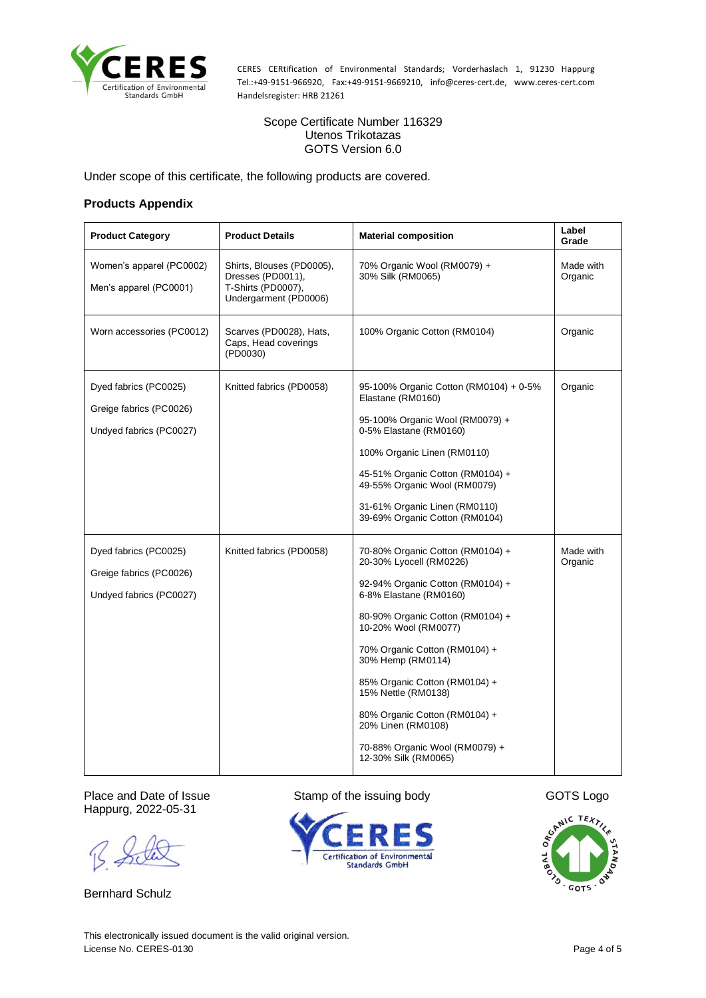

Scope Certificate Number 116329 Utenos Trikotazas GOTS Version 6.0

Under scope of this certificate, the following products are covered.

#### **Products Appendix**

| <b>Product Category</b>                                                     | <b>Product Details</b>                                                                        | <b>Material composition</b>                                                                                                                                                                                                                                                                                                                                                                                          | Label<br>Grade       |
|-----------------------------------------------------------------------------|-----------------------------------------------------------------------------------------------|----------------------------------------------------------------------------------------------------------------------------------------------------------------------------------------------------------------------------------------------------------------------------------------------------------------------------------------------------------------------------------------------------------------------|----------------------|
| Women's apparel (PC0002)<br>Men's apparel (PC0001)                          | Shirts, Blouses (PD0005),<br>Dresses (PD0011),<br>T-Shirts (PD0007),<br>Undergarment (PD0006) | 70% Organic Wool (RM0079) +<br>30% Silk (RM0065)                                                                                                                                                                                                                                                                                                                                                                     | Made with<br>Organic |
| Worn accessories (PC0012)                                                   | Scarves (PD0028), Hats,<br>Caps, Head coverings<br>(PD0030)                                   | 100% Organic Cotton (RM0104)                                                                                                                                                                                                                                                                                                                                                                                         | Organic              |
| Dyed fabrics (PC0025)<br>Greige fabrics (PC0026)<br>Undyed fabrics (PC0027) | Knitted fabrics (PD0058)                                                                      | 95-100% Organic Cotton (RM0104) + 0-5%<br>Elastane (RM0160)<br>95-100% Organic Wool (RM0079) +<br>0-5% Elastane (RM0160)<br>100% Organic Linen (RM0110)<br>45-51% Organic Cotton (RM0104) +<br>49-55% Organic Wool (RM0079)<br>31-61% Organic Linen (RM0110)<br>39-69% Organic Cotton (RM0104)                                                                                                                       | Organic              |
| Dyed fabrics (PC0025)<br>Greige fabrics (PC0026)<br>Undyed fabrics (PC0027) | Knitted fabrics (PD0058)                                                                      | 70-80% Organic Cotton (RM0104) +<br>20-30% Lyocell (RM0226)<br>92-94% Organic Cotton (RM0104) +<br>6-8% Elastane (RM0160)<br>80-90% Organic Cotton (RM0104) +<br>10-20% Wool (RM0077)<br>70% Organic Cotton (RM0104) +<br>30% Hemp (RM0114)<br>85% Organic Cotton (RM0104) +<br>15% Nettle (RM0138)<br>80% Organic Cotton (RM0104) +<br>20% Linen (RM0108)<br>70-88% Organic Wool (RM0079) +<br>12-30% Silk (RM0065) | Made with<br>Organic |

Happurg, 2022-05-31

Bernhard Schulz